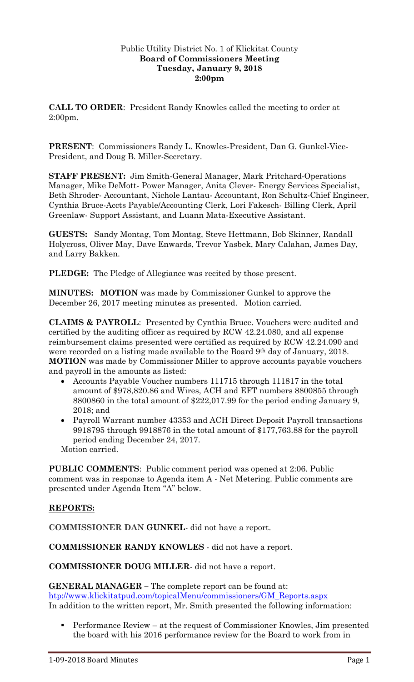## Public Utility District No. 1 of Klickitat County **Board of Commissioners Meeting Tuesday, January 9, 2018 2:00pm**

**CALL TO ORDER**: President Randy Knowles called the meeting to order at 2:00pm.

**PRESENT**: Commissioners Randy L. Knowles-President, Dan G. Gunkel-Vice-President, and Doug B. Miller-Secretary.

**STAFF PRESENT:** Jim Smith-General Manager, Mark Pritchard-Operations Manager, Mike DeMott- Power Manager, Anita Clever- Energy Services Specialist, Beth Shroder- Accountant, Nichole Lantau- Accountant, Ron Schultz-Chief Engineer, Cynthia Bruce-Accts Payable/Accounting Clerk, Lori Fakesch- Billing Clerk, April Greenlaw- Support Assistant, and Luann Mata-Executive Assistant.

**GUESTS:** Sandy Montag, Tom Montag, Steve Hettmann, Bob Skinner, Randall Holycross, Oliver May, Dave Enwards, Trevor Yasbek, Mary Calahan, James Day, and Larry Bakken.

**PLEDGE:** The Pledge of Allegiance was recited by those present.

**MINUTES: MOTION** was made by Commissioner Gunkel to approve the December 26, 2017 meeting minutes as presented. Motion carried.

**CLAIMS & PAYROLL**: Presented by Cynthia Bruce. Vouchers were audited and certified by the auditing officer as required by RCW 42.24.080, and all expense reimbursement claims presented were certified as required by RCW 42.24.090 and were recorded on a listing made available to the Board 9<sup>th</sup> day of January, 2018. **MOTION** was made by Commissioner Miller to approve accounts payable vouchers and payroll in the amounts as listed:

- Accounts Payable Voucher numbers 111715 through 111817 in the total amount of \$978,820.86 and Wires, ACH and EFT numbers 8800855 through 8800860 in the total amount of \$222,017.99 for the period ending January 9, 2018; and
- Payroll Warrant number 43353 and ACH Direct Deposit Payroll transactions 9918795 through 9918876 in the total amount of \$177,763.88 for the payroll period ending December 24, 2017.

Motion carried.

**PUBLIC COMMENTS**: Public comment period was opened at 2:06. Public comment was in response to Agenda item A - Net Metering. Public comments are presented under Agenda Item "A" below.

## **REPORTS:**

**COMMISSIONER DAN GUNKEL**- did not have a report.

**COMMISSIONER RANDY KNOWLES** - did not have a report.

**COMMISSIONER DOUG MILLER**- did not have a report.

**GENERAL MANAGER –** The complete report can be found at: [htp://www.klickitatpud.com/topicalMenu/commissioners/GM\\_Reports.aspx](http://www.klickitatpud.com/topicalMenu/commissioners/GM_Reports.aspx) In addition to the written report, Mr. Smith presented the following information:

 Performance Review – at the request of Commissioner Knowles, Jim presented the board with his 2016 performance review for the Board to work from in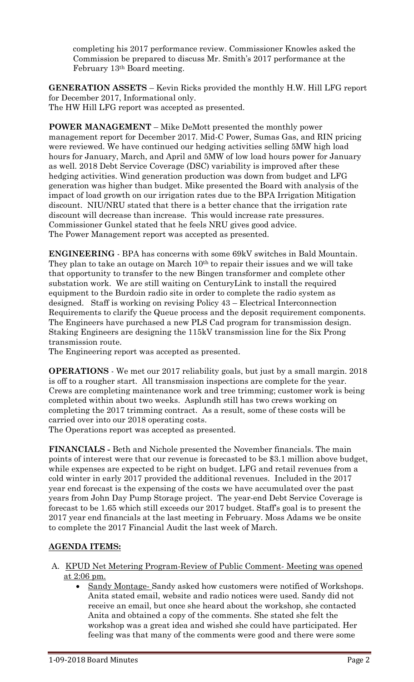completing his 2017 performance review. Commissioner Knowles asked the Commission be prepared to discuss Mr. Smith's 2017 performance at the February 13th Board meeting.

**GENERATION ASSETS** – Kevin Ricks provided the monthly H.W. Hill LFG report for December 2017, Informational only. The HW Hill LFG report was accepted as presented.

**POWER MANAGEMENT** – Mike DeMott presented the monthly power management report for December 2017. Mid-C Power, Sumas Gas, and RIN pricing were reviewed. We have continued our hedging activities selling 5MW high load hours for January, March, and April and 5MW of low load hours power for January as well. 2018 Debt Service Coverage (DSC) variability is improved after these hedging activities. Wind generation production was down from budget and LFG generation was higher than budget. Mike presented the Board with analysis of the impact of load growth on our irrigation rates due to the BPA Irrigation Mitigation discount. NIU/NRU stated that there is a better chance that the irrigation rate discount will decrease than increase. This would increase rate pressures. Commissioner Gunkel stated that he feels NRU gives good advice. The Power Management report was accepted as presented.

**ENGINEERING** - BPA has concerns with some 69kV switches in Bald Mountain. They plan to take an outage on March 10<sup>th</sup> to repair their issues and we will take that opportunity to transfer to the new Bingen transformer and complete other substation work. We are still waiting on CenturyLink to install the required equipment to the Burdoin radio site in order to complete the radio system as designed. Staff is working on revising Policy 43 – Electrical Interconnection Requirements to clarify the Queue process and the deposit requirement components. The Engineers have purchased a new PLS Cad program for transmission design. Staking Engineers are designing the 115kV transmission line for the Six Prong transmission route.

The Engineering report was accepted as presented.

**OPERATIONS** - We met our 2017 reliability goals, but just by a small margin. 2018 is off to a rougher start. All transmission inspections are complete for the year. Crews are completing maintenance work and tree trimming; customer work is being completed within about two weeks. Asplundh still has two crews working on completing the 2017 trimming contract. As a result, some of these costs will be carried over into our 2018 operating costs.

The Operations report was accepted as presented.

**FINANCIALS -** Beth and Nichole presented the November financials. The main points of interest were that our revenue is forecasted to be \$3.1 million above budget, while expenses are expected to be right on budget. LFG and retail revenues from a cold winter in early 2017 provided the additional revenues. Included in the 2017 year end forecast is the expensing of the costs we have accumulated over the past years from John Day Pump Storage project. The year-end Debt Service Coverage is forecast to be 1.65 which still exceeds our 2017 budget. Staff's goal is to present the 2017 year end financials at the last meeting in February. Moss Adams we be onsite to complete the 2017 Financial Audit the last week of March.

# **AGENDA ITEMS:**

- A. KPUD Net Metering Program-Review of Public Comment- Meeting was opened at 2:06 pm.
	- Sandy Montage- Sandy asked how customers were notified of Workshops. Anita stated email, website and radio notices were used. Sandy did not receive an email, but once she heard about the workshop, she contacted Anita and obtained a copy of the comments. She stated she felt the workshop was a great idea and wished she could have participated. Her feeling was that many of the comments were good and there were some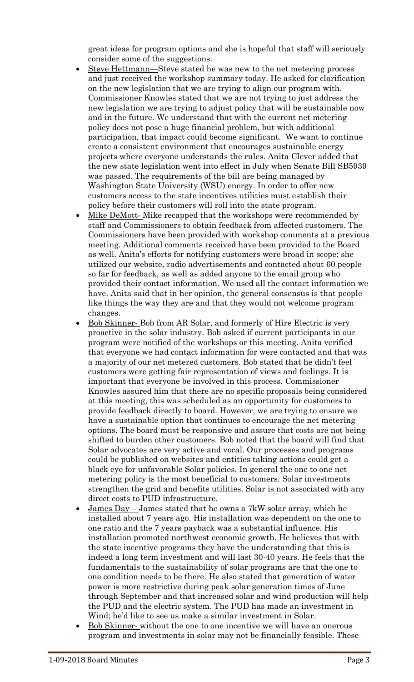great ideas for program options and she is hopeful that staff will seriously consider some of the suggestions.

- Steve Hettmann—Steve stated he was new to the net metering process and just received the workshop summary today. He asked for clarification on the new legislation that we are trying to align our program with. Commissioner Knowles stated that we are not trying to just address the new legislation we are trying to adjust policy that will be sustainable now and in the future. We understand that with the current net metering policy does not pose a huge financial problem, but with additional participation, that impact could become significant. We want to continue create a consistent environment that encourages sustainable energy projects where everyone understands the rules. Anita Clever added that the new state legislation went into effect in July when Senate Bill SB5939 was passed. The requirements of the bill are being managed by Washington State University (WSU) energy. In order to offer new customers access to the state incentives utilities must establish their policy before their customers will roll into the state program.
- Mike DeMott- Mike recapped that the workshops were recommended by staff and Commissioners to obtain feedback from affected customers. The Commissioners have been provided with workshop comments at a previous meeting. Additional comments received have been provided to the Board as well. Anita's efforts for notifying customers were broad in scope; she utilized our website, radio advertisements and contacted about 60 people so far for feedback, as well as added anyone to the email group who provided their contact information. We used all the contact information we have. Anita said that in her opinion, the general consensus is that people like things the way they are and that they would not welcome program changes.
- Bob Skinner- Bob from AR Solar, and formerly of Hire Electric is very proactive in the solar industry. Bob asked if current participants in our program were notified of the workshops or this meeting. Anita verified that everyone we had contact information for were contacted and that was a majority of our net metered customers. Bob stated that he didn't feel customers were getting fair representation of views and feelings. It is important that everyone be involved in this process. Commissioner Knowles assured him that there are no specific proposals being considered at this meeting, this was scheduled as an opportunity for customers to provide feedback directly to board. However, we are trying to ensure we have a sustainable option that continues to encourage the net metering options. The board must be responsive and assure that costs are not being shifted to burden other customers. Bob noted that the board will find that Solar advocates are very active and vocal. Our processes and programs could be published on websites and entities taking actions could get a black eye for unfavorable Solar policies. In general the one to one net metering policy is the most beneficial to customers. Solar investments strengthen the grid and benefits utilities. Solar is not associated with any direct costs to PUD infrastructure.
- James Day James stated that he owns a 7kW solar array, which he installed about 7 years ago. His installation was dependent on the one to one ratio and the 7 years payback was a substantial influence. His installation promoted northwest economic growth. He believes that with the state incentive programs they have the understanding that this is indeed a long term investment and will last 30-40 years. He feels that the fundamentals to the sustainability of solar programs are that the one to one condition needs to be there. He also stated that generation of water power is more restrictive during peak solar generation times of June through September and that increased solar and wind production will help the PUD and the electric system. The PUD has made an investment in Wind; he'd like to see us make a similar investment in Solar.
- Bob Skinner- without the one to one incentive we will have an onerous program and investments in solar may not be financially feasible. These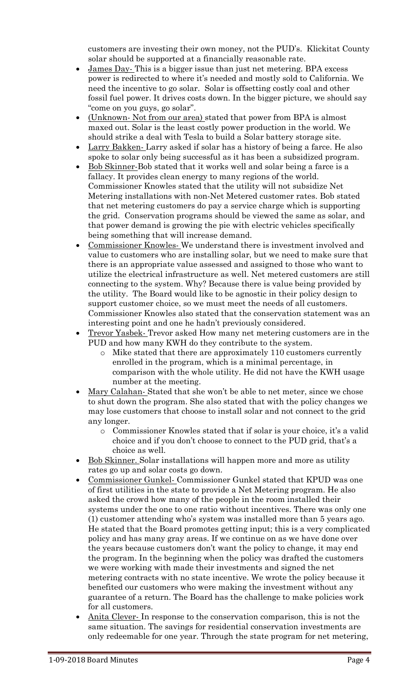customers are investing their own money, not the PUD's. Klickitat County solar should be supported at a financially reasonable rate.

- James Day- This is a bigger issue than just net metering. BPA excess power is redirected to where it's needed and mostly sold to California. We need the incentive to go solar. Solar is offsetting costly coal and other fossil fuel power. It drives costs down. In the bigger picture, we should say "come on you guys, go solar".
- (Unknown- Not from our area) stated that power from BPA is almost maxed out. Solar is the least costly power production in the world. We should strike a deal with Tesla to build a Solar battery storage site.
- Larry Bakken- Larry asked if solar has a history of being a farce. He also spoke to solar only being successful as it has been a subsidized program.
- Bob Skinner-Bob stated that it works well and solar being a farce is a fallacy. It provides clean energy to many regions of the world. Commissioner Knowles stated that the utility will not subsidize Net Metering installations with non-Net Metered customer rates. Bob stated that net metering customers do pay a service charge which is supporting the grid. Conservation programs should be viewed the same as solar, and that power demand is growing the pie with electric vehicles specifically being something that will increase demand.
- Commissioner Knowles- We understand there is investment involved and value to customers who are installing solar, but we need to make sure that there is an appropriate value assessed and assigned to those who want to utilize the electrical infrastructure as well. Net metered customers are still connecting to the system. Why? Because there is value being provided by the utility. The Board would like to be agnostic in their policy design to support customer choice, so we must meet the needs of all customers. Commissioner Knowles also stated that the conservation statement was an interesting point and one he hadn't previously considered.
- Trevor Yasbek- Trevor asked How many net metering customers are in the PUD and how many KWH do they contribute to the system.
	- o Mike stated that there are approximately 110 customers currently enrolled in the program, which is a minimal percentage, in comparison with the whole utility. He did not have the KWH usage number at the meeting.
- Mary Calahan- Stated that she won't be able to net meter, since we chose to shut down the program. She also stated that with the policy changes we may lose customers that choose to install solar and not connect to the grid any longer.
	- o Commissioner Knowles stated that if solar is your choice, it's a valid choice and if you don't choose to connect to the PUD grid, that's a choice as well.
- Bob Skinner. Solar installations will happen more and more as utility rates go up and solar costs go down.
- Commissioner Gunkel- Commissioner Gunkel stated that KPUD was one of first utilities in the state to provide a Net Metering program. He also asked the crowd how many of the people in the room installed their systems under the one to one ratio without incentives. There was only one (1) customer attending who's system was installed more than 5 years ago. He stated that the Board promotes getting input; this is a very complicated policy and has many gray areas. If we continue on as we have done over the years because customers don't want the policy to change, it may end the program. In the beginning when the policy was drafted the customers we were working with made their investments and signed the net metering contracts with no state incentive. We wrote the policy because it benefited our customers who were making the investment without any guarantee of a return. The Board has the challenge to make policies work for all customers.
- Anita Clever- In response to the conservation comparison, this is not the same situation. The savings for residential conservation investments are only redeemable for one year. Through the state program for net metering,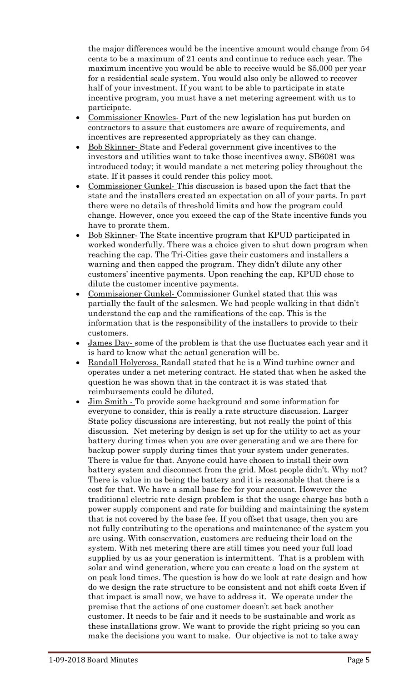the major differences would be the incentive amount would change from 54 cents to be a maximum of 21 cents and continue to reduce each year. The maximum incentive you would be able to receive would be \$5,000 per year for a residential scale system. You would also only be allowed to recover half of your investment. If you want to be able to participate in state incentive program, you must have a net metering agreement with us to participate.

- Commissioner Knowles-Part of the new legislation has put burden on contractors to assure that customers are aware of requirements, and incentives are represented appropriately as they can change.
- Bob Skinner- State and Federal government give incentives to the investors and utilities want to take those incentives away. SB6081 was introduced today; it would mandate a net metering policy throughout the state. If it passes it could render this policy moot.
- Commissioner Gunkel- This discussion is based upon the fact that the state and the installers created an expectation on all of your parts. In part there were no details of threshold limits and how the program could change. However, once you exceed the cap of the State incentive funds you have to prorate them.
- Bob Skinner- The State incentive program that KPUD participated in worked wonderfully. There was a choice given to shut down program when reaching the cap. The Tri-Cities gave their customers and installers a warning and then capped the program. They didn't dilute any other customers' incentive payments. Upon reaching the cap, KPUD chose to dilute the customer incentive payments.
- Commissioner Gunkel- Commissioner Gunkel stated that this was partially the fault of the salesmen. We had people walking in that didn't understand the cap and the ramifications of the cap. This is the information that is the responsibility of the installers to provide to their customers.
- James Day- some of the problem is that the use fluctuates each year and it is hard to know what the actual generation will be.
- Randall Holycross. Randall stated that he is a Wind turbine owner and operates under a net metering contract. He stated that when he asked the question he was shown that in the contract it is was stated that reimbursements could be diluted.
- Jim Smith To provide some background and some information for everyone to consider, this is really a rate structure discussion. Larger State policy discussions are interesting, but not really the point of this discussion. Net metering by design is set up for the utility to act as your battery during times when you are over generating and we are there for backup power supply during times that your system under generates. There is value for that. Anyone could have chosen to install their own battery system and disconnect from the grid. Most people didn't. Why not? There is value in us being the battery and it is reasonable that there is a cost for that. We have a small base fee for your account. However the traditional electric rate design problem is that the usage charge has both a power supply component and rate for building and maintaining the system that is not covered by the base fee. If you offset that usage, then you are not fully contributing to the operations and maintenance of the system you are using. With conservation, customers are reducing their load on the system. With net metering there are still times you need your full load supplied by us as your generation is intermittent. That is a problem with solar and wind generation, where you can create a load on the system at on peak load times. The question is how do we look at rate design and how do we design the rate structure to be consistent and not shift costs Even if that impact is small now, we have to address it. We operate under the premise that the actions of one customer doesn't set back another customer. It needs to be fair and it needs to be sustainable and work as these installations grow. We want to provide the right pricing so you can make the decisions you want to make. Our objective is not to take away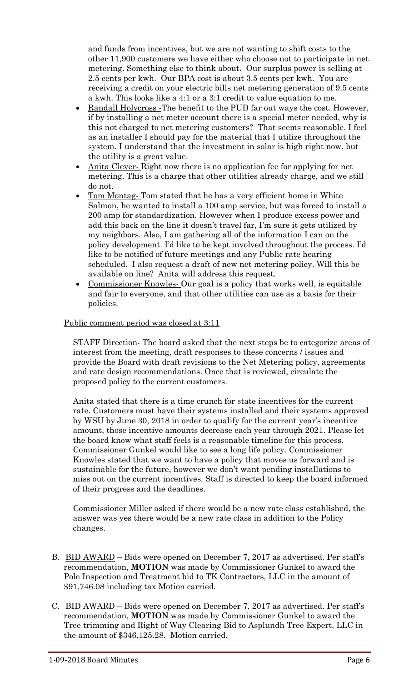and funds from incentives, but we are not wanting to shift costs to the other 11,900 customers we have either who choose not to participate in net metering. Something else to think about. Our surplus power is selling at 2.5 cents per kwh. Our BPA cost is about 3.5 cents per kwh. You are receiving a credit on your electric bills net metering generation of 9.5 cents a kwh. This looks like a 4:1 or a 3:1 credit to value equation to me.

- Randall Holycross -The benefit to the PUD far out ways the cost. However, if by installing a net meter account there is a special meter needed, why is this not charged to net metering customers? That seems reasonable. I feel as an installer I should pay for the material that I utilize throughout the system. I understand that the investment in solar is high right now, but the utility is a great value.
- Anita Clever- Right now there is no application fee for applying for net metering. This is a charge that other utilities already charge, and we still do not.
- Tom Montag- Tom stated that he has a very efficient home in White Salmon, he wanted to install a 100 amp service, but was forced to install a 200 amp for standardization. However when I produce excess power and add this back on the line it doesn't travel far, I'm sure it gets utilized by my neighbors. Also, I am gathering all of the information I can on the policy development. I'd like to be kept involved throughout the process. I'd like to be notified of future meetings and any Public rate hearing scheduled. I also request a draft of new net metering policy. Will this be available on line? Anita will address this request.
- Commissioner Knowles- Our goal is a policy that works well, is equitable and fair to everyone, and that other utilities can use as a basis for their policies.

## Public comment period was closed at 3:11

STAFF Direction- The board asked that the next steps be to categorize areas of interest from the meeting, draft responses to these concerns / issues and provide the Board with draft revisions to the Net Metering policy, agreements and rate design recommendations. Once that is reviewed, circulate the proposed policy to the current customers.

Anita stated that there is a time crunch for state incentives for the current rate. Customers must have their systems installed and their systems approved by WSU by June 30, 2018 in order to qualify for the current year's incentive amount, those incentive amounts decrease each year through 2021. Please let the board know what staff feels is a reasonable timeline for this process. Commissioner Gunkel would like to see a long life policy. Commissioner Knowles stated that we want to have a policy that moves us forward and is sustainable for the future, however we don't want pending installations to miss out on the current incentives. Staff is directed to keep the board informed of their progress and the deadlines.

Commissioner Miller asked if there would be a new rate class established, the answer was yes there would be a new rate class in addition to the Policy changes.

- B. BID AWARD Bids were opened on December 7, 2017 as advertised. Per staff's recommendation, **MOTION** was made by Commissioner Gunkel to award the Pole Inspection and Treatment bid to TK Contractors, LLC in the amount of \$91,746.08 including tax Motion carried.
- C. BID AWARD Bids were opened on December 7, 2017 as advertised. Per staff's recommendation, **MOTION** was made by Commissioner Gunkel to award the Tree trimming and Right of Way Clearing Bid to Asplundh Tree Expert, LLC in the amount of \$346,125.28. Motion carried.